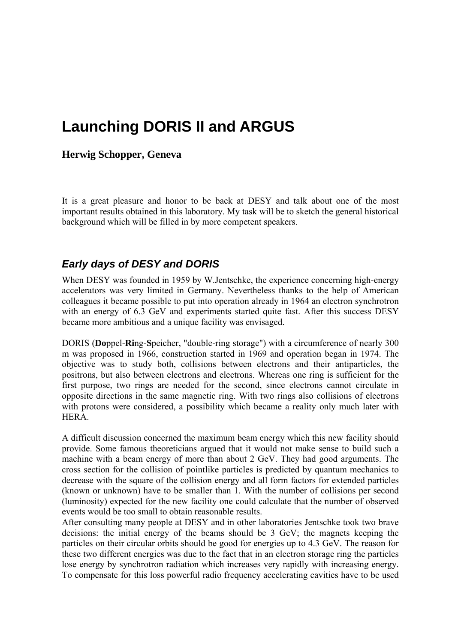# **Launching DORIS II and ARGUS**

#### **Herwig Schopper, Geneva**

It is a great pleasure and honor to be back at DESY and talk about one of the most important results obtained in this laboratory. My task will be to sketch the general historical background which will be filled in by more competent speakers.

#### *Early days of DESY and DORIS*

When DESY was founded in 1959 by W.Jentschke, the experience concerning high-energy accelerators was very limited in Germany. Nevertheless thanks to the help of American colleagues it became possible to put into operation already in 1964 an electron synchrotron with an energy of 6.3 GeV and experiments started quite fast. After this success DESY became more ambitious and a unique facility was envisaged.

DORIS (**Do**ppel-**Ri**ng-**S**peicher, "double-ring storage") with a circumference of nearly 300 m was proposed in 1966, construction started in 1969 and operation began in 1974. The objective was to study both, collisions between electrons and their antiparticles, the positrons, but also between electrons and electrons. Whereas one ring is sufficient for the first purpose, two rings are needed for the second, since electrons cannot circulate in opposite directions in the same magnetic ring. With two rings also collisions of electrons with protons were considered, a possibility which became a reality only much later with HERA.

A difficult discussion concerned the maximum beam energy which this new facility should provide. Some famous theoreticians argued that it would not make sense to build such a machine with a beam energy of more than about 2 GeV. They had good arguments. The cross section for the collision of pointlike particles is predicted by quantum mechanics to decrease with the square of the collision energy and all form factors for extended particles (known or unknown) have to be smaller than 1. With the number of collisions per second (luminosity) expected for the new facility one could calculate that the number of observed events would be too small to obtain reasonable results.

After consulting many people at DESY and in other laboratories Jentschke took two brave decisions: the initial energy of the beams should be 3 GeV; the magnets keeping the particles on their circular orbits should be good for energies up to 4.3 GeV. The reason for these two different energies was due to the fact that in an electron storage ring the particles lose energy by synchrotron radiation which increases very rapidly with increasing energy. To compensate for this loss powerful radio frequency accelerating cavities have to be used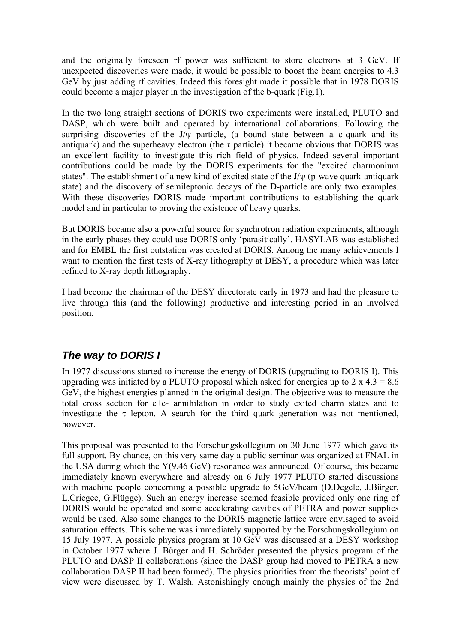and the originally foreseen rf power was sufficient to store electrons at 3 GeV. If unexpected discoveries were made, it would be possible to boost the beam energies to 4.3 GeV by just adding rf cavities. Indeed this foresight made it possible that in 1978 DORIS could become a major player in the investigation of the b-quark (Fig.1).

In the two long straight sections of DORIS two experiments were installed, PLUTO and DASP, which were built and operated by international collaborations. Following the surprising discoveries of the  $J/\psi$  particle, (a bound state between a c-quark and its antiquark) and the superheavy electron (the  $\tau$  particle) it became obvious that DORIS was an excellent facility to investigate this rich field of physics. Indeed several important contributions could be made by the DORIS experiments for the "excited charmonium states". The establishment of a new kind of excited state of the J/ψ (p-wave quark-antiquark state) and the discovery of semileptonic decays of the D-particle are only two examples. With these discoveries DORIS made important contributions to establishing the quark model and in particular to proving the existence of heavy quarks.

But DORIS became also a powerful source for synchrotron radiation experiments, although in the early phases they could use DORIS only 'parasitically'. HASYLAB was established and for EMBL the first outstation was created at DORIS. Among the many achievements I want to mention the first tests of X-ray lithography at DESY, a procedure which was later refined to X-ray depth lithography.

I had become the chairman of the DESY directorate early in 1973 and had the pleasure to live through this (and the following) productive and interesting period in an involved position.

#### *The way to DORIS I*

In 1977 discussions started to increase the energy of DORIS (upgrading to DORIS I). This upgrading was initiated by a PLUTO proposal which asked for energies up to  $2 \times 4.3 = 8.6$ GeV, the highest energies planned in the original design. The objective was to measure the total cross section for e+e- annihilation in order to study exited charm states and to investigate the  $\tau$  lepton. A search for the third quark generation was not mentioned, however.

This proposal was presented to the Forschungskollegium on 30 June 1977 which gave its full support. By chance, on this very same day a public seminar was organized at FNAL in the USA during which the Y(9.46 GeV) resonance was announced. Of course, this became immediately known everywhere and already on 6 July 1977 PLUTO started discussions with machine people concerning a possible upgrade to 5GeV/beam (D.Degele, J.Bürger, L.Criegee, G.Flügge). Such an energy increase seemed feasible provided only one ring of DORIS would be operated and some accelerating cavities of PETRA and power supplies would be used. Also some changes to the DORIS magnetic lattice were envisaged to avoid saturation effects. This scheme was immediately supported by the Forschungskollegium on 15 July 1977. A possible physics program at 10 GeV was discussed at a DESY workshop in October 1977 where J. Bürger and H. Schröder presented the physics program of the PLUTO and DASP II collaborations (since the DASP group had moved to PETRA a new collaboration DASP II had been formed). The physics priorities from the theorists' point of view were discussed by T. Walsh. Astonishingly enough mainly the physics of the 2nd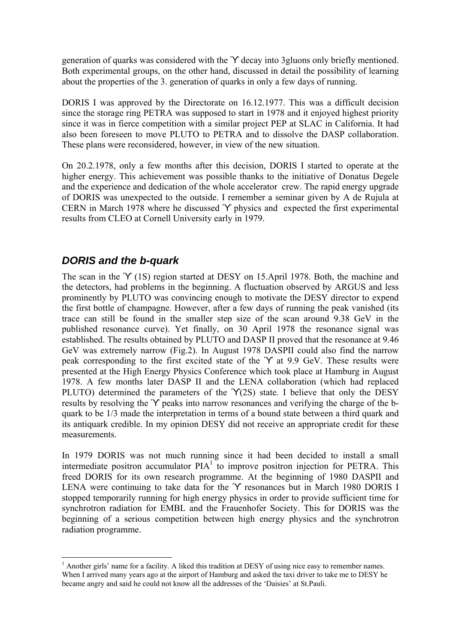generation of quarks was considered with the ϓ decay into 3gluons only briefly mentioned. Both experimental groups, on the other hand, discussed in detail the possibility of learning about the properties of the 3. generation of quarks in only a few days of running.

DORIS I was approved by the Directorate on 16.12.1977. This was a difficult decision since the storage ring PETRA was supposed to start in 1978 and it enjoyed highest priority since it was in fierce competition with a similar project PEP at SLAC in California. It had also been foreseen to move PLUTO to PETRA and to dissolve the DASP collaboration. These plans were reconsidered, however, in view of the new situation.

On 20.2.1978, only a few months after this decision, DORIS I started to operate at the higher energy. This achievement was possible thanks to the initiative of Donatus Degele and the experience and dedication of the whole accelerator crew. The rapid energy upgrade of DORIS was unexpected to the outside. I remember a seminar given by A de Rujula at CERN in March 1978 where he discussed ϓ physics and expected the first experimental results from CLEO at Cornell University early in 1979.

#### *DORIS and the b-quark*

1

The scan in the 'Y (1S) region started at DESY on 15.April 1978. Both, the machine and the detectors, had problems in the beginning. A fluctuation observed by ARGUS and less prominently by PLUTO was convincing enough to motivate the DESY director to expend the first bottle of champagne. However, after a few days of running the peak vanished (its trace can still be found in the smaller step size of the scan around 9.38 GeV in the published resonance curve). Yet finally, on 30 April 1978 the resonance signal was established. The results obtained by PLUTO and DASP II proved that the resonance at 9.46 GeV was extremely narrow (Fig.2). In August 1978 DASPII could also find the narrow peak corresponding to the first excited state of the ϓ at 9.9 GeV. These results were presented at the High Energy Physics Conference which took place at Hamburg in August 1978. A few months later DASP II and the LENA collaboration (which had replaced PLUTO) determined the parameters of the 'Y(2S) state. I believe that only the DESY results by resolving the ϓ peaks into narrow resonances and verifying the charge of the bquark to be 1/3 made the interpretation in terms of a bound state between a third quark and its antiquark credible. In my opinion DESY did not receive an appropriate credit for these measurements.

In 1979 DORIS was not much running since it had been decided to install a small intermediate positron accumulator  $PIA<sup>T</sup>$  to improve positron injection for PETRA. This freed DORIS for its own research programme. At the beginning of 1980 DASPII and LENA were continuing to take data for the 'Y resonances but in March 1980 DORIS I stopped temporarily running for high energy physics in order to provide sufficient time for synchrotron radiation for EMBL and the Frauenhofer Society. This for DORIS was the beginning of a serious competition between high energy physics and the synchrotron radiation programme.

<sup>&</sup>lt;sup>1</sup> Another girls' name for a facility. A liked this tradition at DESY of using nice easy to remember names. When I arrived many years ago at the airport of Hamburg and asked the taxi driver to take me to DESY he became angry and said he could not know all the addresses of the 'Daisies' at St.Pauli.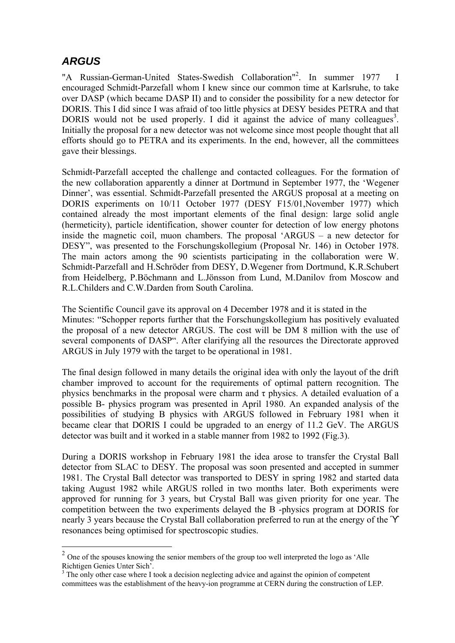# *ARGUS*

1

"A Russian-German-United States-Swedish Collaboration"<sup>2</sup> . In summer 1977 I encouraged Schmidt-Parzefall whom I knew since our common time at Karlsruhe, to take over DASP (which became DASP II) and to consider the possibility for a new detector for DORIS. This I did since I was afraid of too little physics at DESY besides PETRA and that DORIS would not be used properly. I did it against the advice of many colleagues<sup>3</sup>. Initially the proposal for a new detector was not welcome since most people thought that all efforts should go to PETRA and its experiments. In the end, however, all the committees gave their blessings.

Schmidt-Parzefall accepted the challenge and contacted colleagues. For the formation of the new collaboration apparently a dinner at Dortmund in September 1977, the 'Wegener Dinner', was essential. Schmidt-Parzefall presented the ARGUS proposal at a meeting on DORIS experiments on 10/11 October 1977 (DESY F15/01,November 1977) which contained already the most important elements of the final design: large solid angle (hermeticity), particle identification, shower counter for detection of low energy photons inside the magnetic coil, muon chambers. The proposal 'ARGUS – a new detector for DESY", was presented to the Forschungskollegium (Proposal Nr. 146) in October 1978. The main actors among the 90 scientists participating in the collaboration were W. Schmidt-Parzefall and H.Schröder from DESY, D.Wegener from Dortmund, K.R.Schubert from Heidelberg, P.Böchmann and L.Jönsson from Lund, M.Danilov from Moscow and R.L.Childers and C.W.Darden from South Carolina.

The Scientific Council gave its approval on 4 December 1978 and it is stated in the Minutes: "Schopper reports further that the Forschungskollegium has positively evaluated the proposal of a new detector ARGUS. The cost will be DM 8 million with the use of several components of DASP". After clarifying all the resources the Directorate approved ARGUS in July 1979 with the target to be operational in 1981.

The final design followed in many details the original idea with only the layout of the drift chamber improved to account for the requirements of optimal pattern recognition. The physics benchmarks in the proposal were charm and  $\tau$  physics. A detailed evaluation of a possible B- physics program was presented in April 1980. An expanded analysis of the possibilities of studying B physics with ARGUS followed in February 1981 when it became clear that DORIS I could be upgraded to an energy of 11.2 GeV. The ARGUS detector was built and it worked in a stable manner from 1982 to 1992 (Fig.3).

During a DORIS workshop in February 1981 the idea arose to transfer the Crystal Ball detector from SLAC to DESY. The proposal was soon presented and accepted in summer 1981. The Crystal Ball detector was transported to DESY in spring 1982 and started data taking August 1982 while ARGUS rolled in two months later. Both experiments were approved for running for 3 years, but Crystal Ball was given priority for one year. The competition between the two experiments delayed the B -physics program at DORIS for nearly 3 years because the Crystal Ball collaboration preferred to run at the energy of the ϓ resonances being optimised for spectroscopic studies.

 $2$  One of the spouses knowing the senior members of the group too well interpreted the logo as 'Alle Richtigen Genies Unter Sich'.

<sup>&</sup>lt;sup>3</sup> The only other case where I took a decision neglecting advice and against the opinion of competent committees was the establishment of the heavy-ion programme at CERN during the construction of LEP.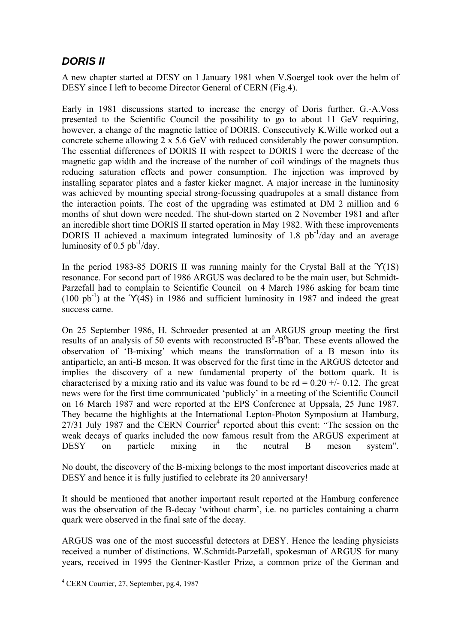### *DORIS II*

A new chapter started at DESY on 1 January 1981 when V.Soergel took over the helm of DESY since I left to become Director General of CERN (Fig.4).

Early in 1981 discussions started to increase the energy of Doris further. G.-A.Voss presented to the Scientific Council the possibility to go to about 11 GeV requiring, however, a change of the magnetic lattice of DORIS. Consecutively K.Wille worked out a concrete scheme allowing 2 x 5.6 GeV with reduced considerably the power consumption. The essential differences of DORIS II with respect to DORIS I were the decrease of the magnetic gap width and the increase of the number of coil windings of the magnets thus reducing saturation effects and power consumption. The injection was improved by installing separator plates and a faster kicker magnet. A major increase in the luminosity was achieved by mounting special strong-focussing quadrupoles at a small distance from the interaction points. The cost of the upgrading was estimated at DM 2 million and 6 months of shut down were needed. The shut-down started on 2 November 1981 and after an incredible short time DORIS II started operation in May 1982. With these improvements DORIS II achieved a maximum integrated luminosity of 1.8  $pb^{-1}/day$  and an average luminosity of 0.5  $pb^{-1}/day$ .

In the period 1983-85 DORIS II was running mainly for the Crystal Ball at the 'Y(1S) resonance. For second part of 1986 ARGUS was declared to be the main user, but Schmidt-Parzefall had to complain to Scientific Council on 4 March 1986 asking for beam time  $(100 \text{ pb}^{-1})$  at the 'Y(4S) in 1986 and sufficient luminosity in 1987 and indeed the great success came.

On 25 September 1986, H. Schroeder presented at an ARGUS group meeting the first results of an analysis of 50 events with reconstructed  $B^0$ - $B^0$ bar. These events allowed the observation of 'B-mixing' which means the transformation of a B meson into its antiparticle, an anti-B meson. It was observed for the first time in the ARGUS detector and implies the discovery of a new fundamental property of the bottom quark. It is characterised by a mixing ratio and its value was found to be  $rd = 0.20 +1.012$ . The great news were for the first time communicated 'publicly' in a meeting of the Scientific Council on 16 March 1987 and were reported at the EPS Conference at Uppsala, 25 June 1987. They became the highlights at the International Lepton-Photon Symposium at Hamburg, 27/31 July 1987 and the CERN Courrier<sup>4</sup> reported about this event: "The session on the weak decays of quarks included the now famous result from the ARGUS experiment at DESY on particle mixing in the neutral B meson system".

No doubt, the discovery of the B-mixing belongs to the most important discoveries made at DESY and hence it is fully justified to celebrate its 20 anniversary!

It should be mentioned that another important result reported at the Hamburg conference was the observation of the B-decay 'without charm', i.e. no particles containing a charm quark were observed in the final sate of the decay.

ARGUS was one of the most successful detectors at DESY. Hence the leading physicists received a number of distinctions. W.Schmidt-Parzefall, spokesman of ARGUS for many years, received in 1995 the Gentner-Kastler Prize, a common prize of the German and

1

<sup>4</sup> CERN Courrier, 27, September, pg.4, 1987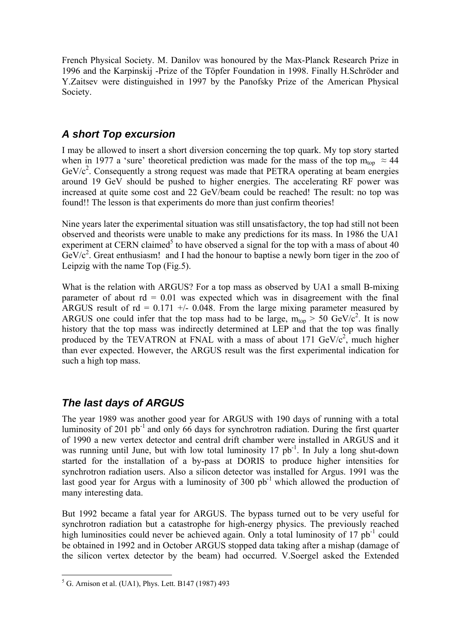French Physical Society. M. Danilov was honoured by the Max-Planck Research Prize in 1996 and the Karpinskij -Prize of the Töpfer Foundation in 1998. Finally H.Schröder and Y.Zaitsev were distinguished in 1997 by the Panofsky Prize of the American Physical Society.

#### *A short Top excursion*

I may be allowed to insert a short diversion concerning the top quark. My top story started when in 1977 a 'sure' theoretical prediction was made for the mass of the top  $m_{\text{top}} \approx 44$  $GeV/c<sup>2</sup>$ . Consequently a strong request was made that PETRA operating at beam energies around 19 GeV should be pushed to higher energies. The accelerating RF power was increased at quite some cost and 22 GeV/beam could be reached! The result: no top was found!! The lesson is that experiments do more than just confirm theories!

Nine years later the experimental situation was still unsatisfactory, the top had still not been observed and theorists were unable to make any predictions for its mass. In 1986 the UA1 experiment at CERN claimed<sup>5</sup> to have observed a signal for the top with a mass of about 40  $GeV/c^2$ . Great enthusiasm! and I had the honour to baptise a newly born tiger in the zoo of Leipzig with the name Top (Fig.5).

What is the relation with ARGUS? For a top mass as observed by UA1 a small B-mixing parameter of about  $rd = 0.01$  was expected which was in disagreement with the final ARGUS result of  $rd = 0.171 +1.0048$ . From the large mixing parameter measured by ARGUS one could infer that the top mass had to be large,  $m_{top} > 50$  GeV/c<sup>2</sup>. It is now history that the top mass was indirectly determined at LEP and that the top was finally produced by the TEVATRON at FNAL with a mass of about 171  $GeV/c^2$ , much higher than ever expected. However, the ARGUS result was the first experimental indication for such a high top mass.

## *The last days of ARGUS*

The year 1989 was another good year for ARGUS with 190 days of running with a total luminosity of 201 pb<sup>-1</sup> and only 66 days for synchrotron radiation. During the first quarter of 1990 a new vertex detector and central drift chamber were installed in ARGUS and it was running until June, but with low total luminosity  $17$  pb<sup>-1</sup>. In July a long shut-down started for the installation of a by-pass at DORIS to produce higher intensities for synchrotron radiation users. Also a silicon detector was installed for Argus. 1991 was the last good year for Argus with a luminosity of 300  $pb^{-1}$  which allowed the production of many interesting data.

But 1992 became a fatal year for ARGUS. The bypass turned out to be very useful for synchrotron radiation but a catastrophe for high-energy physics. The previously reached high luminosities could never be achieved again. Only a total luminosity of  $17 \text{ pb}^{-1}$  could be obtained in 1992 and in October ARGUS stopped data taking after a mishap (damage of the silicon vertex detector by the beam) had occurred. V.Soergel asked the Extended

<sup>&</sup>lt;sup>5</sup> G. Arnison et al. (UA1), Phys. Lett. B147 (1987) 493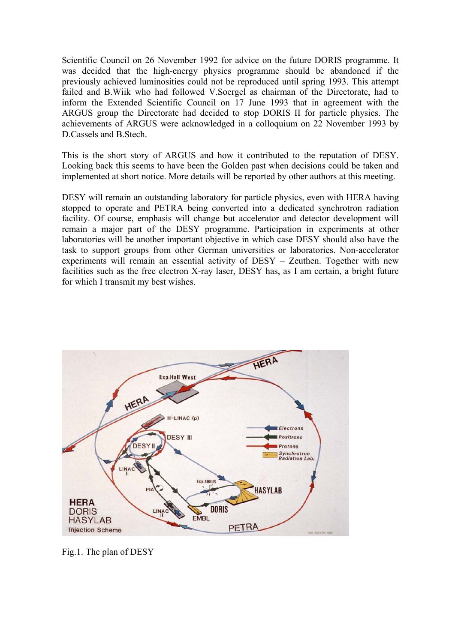Scientific Council on 26 November 1992 for advice on the future DORIS programme. It was decided that the high-energy physics programme should be abandoned if the previously achieved luminosities could not be reproduced until spring 1993. This attempt failed and B.Wiik who had followed V.Soergel as chairman of the Directorate, had to inform the Extended Scientific Council on 17 June 1993 that in agreement with the ARGUS group the Directorate had decided to stop DORIS II for particle physics. The achievements of ARGUS were acknowledged in a colloquium on 22 November 1993 by D.Cassels and B.Stech.

This is the short story of ARGUS and how it contributed to the reputation of DESY. Looking back this seems to have been the Golden past when decisions could be taken and implemented at short notice. More details will be reported by other authors at this meeting.

DESY will remain an outstanding laboratory for particle physics, even with HERA having stopped to operate and PETRA being converted into a dedicated synchrotron radiation facility. Of course, emphasis will change but accelerator and detector development will remain a major part of the DESY programme. Participation in experiments at other laboratories will be another important objective in which case DESY should also have the task to support groups from other German universities or laboratories. Non-accelerator experiments will remain an essential activity of DESY – Zeuthen. Together with new facilities such as the free electron X-ray laser, DESY has, as I am certain, a bright future for which I transmit my best wishes.



Fig.1. The plan of DESY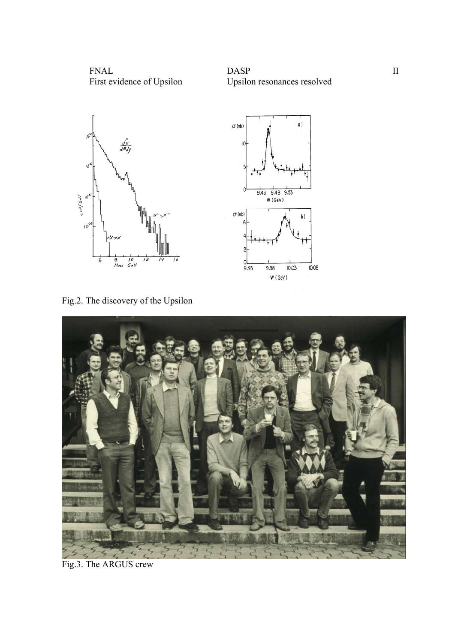

# FNAL DASP II





Fig.2. The discovery of the Upsilon



Fig.3. The ARGUS crew